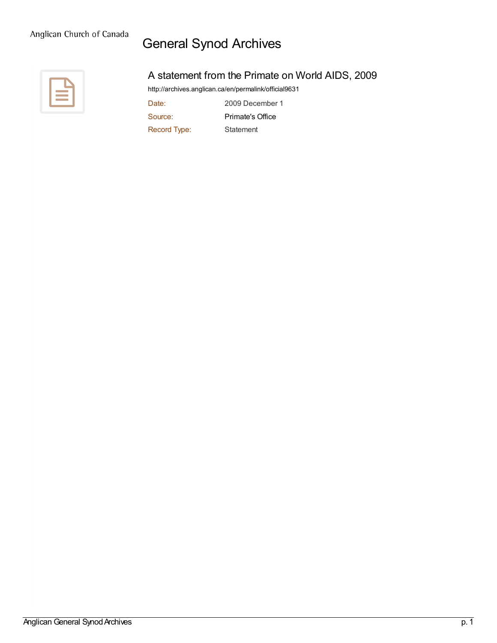## General Synod Archives



## A statement from the Primate on World AIDS, 2009

<http://archives.anglican.ca/en/permalink/official9631>

Date: 2009 December 1 Source: [Primate's](http://archives.anglican.ca/en/list?q=&p=1&ps=&sort=title_sort+asc&source_facet=Primate%27s+Office) Office Record Type: Statement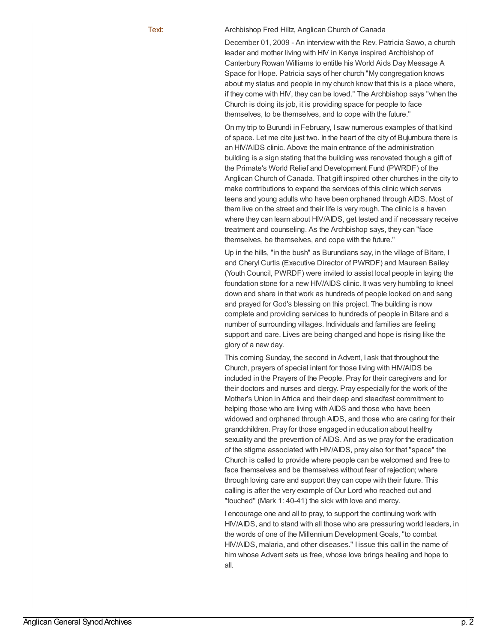Text: Archbishop Fred Hiltz, Anglican Church of Canada

December 01, 2009 - An interview with the Rev. Patricia Sawo, a church leader and mother living with HIV in Kenya inspired Archbishop of Canterbury Rowan Williams to entitle his World Aids Day Message A Space for Hope. Patricia says of her church "My congregation knows about my status and people in my church know that this is a place where, if they come with HIV, they can be loved." The Archbishop says "when the Church is doing its job, it is providing space for people to face themselves, to be themselves, and to cope with the future."

On my trip to Burundi in February, I saw numerous examples of that kind of space. Let me cite just two. In the heart of the city of Bujumbura there is an HIV/AIDS clinic. Above the main entrance of the administration building is a sign stating that the building was renovated though a gift of the Primate's World Relief and Development Fund (PWRDF) of the Anglican Church of Canada. That gift inspired other churches in the city to make contributions to expand the services of this clinic which serves teens and young adults who have been orphaned through AIDS. Most of them live on the street and their life is very rough. The clinic is a haven where they can learn about HIV/AIDS, get tested and if necessary receive treatment and counseling. As the Archbishop says, they can "face themselves, be themselves, and cope with the future."

Up in the hills, "in the bush" as Burundians say, in the village of Bitare, I and Cheryl Curtis (Executive Director of PWRDF) and Maureen Bailey (Youth Council, PWRDF) were invited to assist local people in laying the foundation stone for a new HIV/AIDS clinic. It was very humbling to kneel down and share in that work as hundreds of people looked on and sang and prayed for God's blessing on this project. The building is now complete and providing services to hundreds of people in Bitare and a number of surrounding villages. Individuals and families are feeling support and care. Lives are being changed and hope is rising like the glory of a new day.

This coming Sunday, the second in Advent, I ask that throughout the Church, prayers of special intent for those living with HIV/AIDS be included in the Prayers of the People. Pray for their caregivers and for their doctors and nurses and clergy. Pray especially for the work of the Mother's Union in Africa and their deep and steadfast commitment to helping those who are living with AIDS and those who have been widowed and orphaned through AIDS, and those who are caring for their grandchildren. Pray for those engaged in education about healthy sexuality and the prevention of AIDS. And as we pray for the eradication of the stigma associated with HIV/AIDS, pray also for that "space" the Church is called to provide where people can be welcomed and free to face themselves and be themselves without fear of rejection; where through loving care and support they can cope with their future. This calling is after the very example of Our Lord who reached out and "touched" (Mark 1: 40-41) the sick with love and mercy.

I encourage one and all to pray, to support the continuing work with HIV/AIDS, and to stand with all those who are pressuring world leaders, in the words of one of the Millennium Development Goals, "to combat HIV/AIDS, malaria, and other diseases." I issue this call in the name of him whose Advent sets us free, whose love brings healing and hope to all.